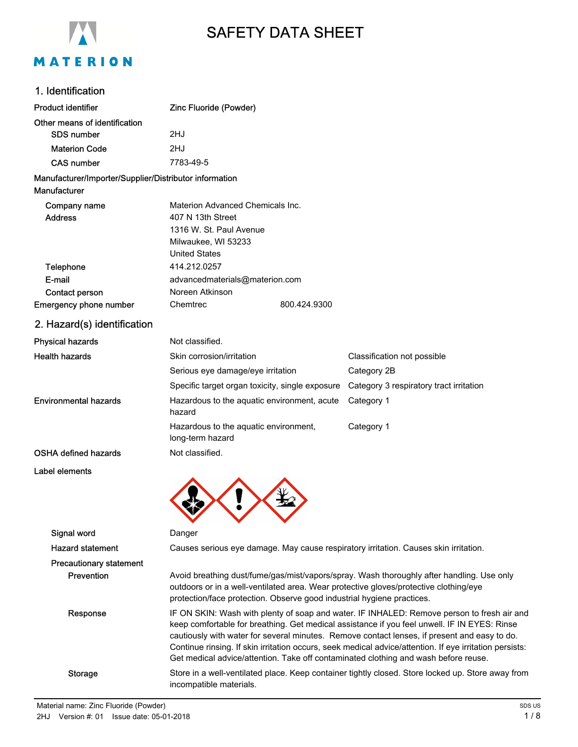

# SAFETY DATA SHEET

# 1. Identification

| Product identifier                                                     | Zinc Fluoride (Powder)                                                                                                                                                                                                                                                                                                                                                                                                                                                                       |                                                                                      |
|------------------------------------------------------------------------|----------------------------------------------------------------------------------------------------------------------------------------------------------------------------------------------------------------------------------------------------------------------------------------------------------------------------------------------------------------------------------------------------------------------------------------------------------------------------------------------|--------------------------------------------------------------------------------------|
| Other means of identification                                          |                                                                                                                                                                                                                                                                                                                                                                                                                                                                                              |                                                                                      |
| <b>SDS number</b>                                                      | 2HJ                                                                                                                                                                                                                                                                                                                                                                                                                                                                                          |                                                                                      |
| <b>Materion Code</b>                                                   | 2HJ                                                                                                                                                                                                                                                                                                                                                                                                                                                                                          |                                                                                      |
| <b>CAS number</b>                                                      | 7783-49-5                                                                                                                                                                                                                                                                                                                                                                                                                                                                                    |                                                                                      |
| Manufacturer/Importer/Supplier/Distributor information<br>Manufacturer |                                                                                                                                                                                                                                                                                                                                                                                                                                                                                              |                                                                                      |
| Company name<br><b>Address</b>                                         | Materion Advanced Chemicals Inc.<br>407 N 13th Street<br>1316 W. St. Paul Avenue<br>Milwaukee, WI 53233<br><b>United States</b>                                                                                                                                                                                                                                                                                                                                                              |                                                                                      |
| Telephone                                                              | 414.212.0257                                                                                                                                                                                                                                                                                                                                                                                                                                                                                 |                                                                                      |
| E-mail                                                                 | advancedmaterials@materion.com                                                                                                                                                                                                                                                                                                                                                                                                                                                               |                                                                                      |
| Contact person                                                         | Noreen Atkinson                                                                                                                                                                                                                                                                                                                                                                                                                                                                              |                                                                                      |
| <b>Emergency phone number</b>                                          | Chemtrec<br>800.424.9300                                                                                                                                                                                                                                                                                                                                                                                                                                                                     |                                                                                      |
| 2. Hazard(s) identification                                            |                                                                                                                                                                                                                                                                                                                                                                                                                                                                                              |                                                                                      |
| <b>Physical hazards</b>                                                | Not classified.                                                                                                                                                                                                                                                                                                                                                                                                                                                                              |                                                                                      |
| <b>Health hazards</b>                                                  | Skin corrosion/irritation                                                                                                                                                                                                                                                                                                                                                                                                                                                                    | Classification not possible                                                          |
|                                                                        | Serious eye damage/eye irritation                                                                                                                                                                                                                                                                                                                                                                                                                                                            | Category 2B                                                                          |
|                                                                        | Specific target organ toxicity, single exposure                                                                                                                                                                                                                                                                                                                                                                                                                                              | Category 3 respiratory tract irritation                                              |
| <b>Environmental hazards</b>                                           | Hazardous to the aquatic environment, acute<br>hazard                                                                                                                                                                                                                                                                                                                                                                                                                                        | Category 1                                                                           |
|                                                                        | Hazardous to the aquatic environment,<br>long-term hazard                                                                                                                                                                                                                                                                                                                                                                                                                                    | Category 1                                                                           |
| <b>OSHA defined hazards</b>                                            | Not classified.                                                                                                                                                                                                                                                                                                                                                                                                                                                                              |                                                                                      |
| Label elements                                                         |                                                                                                                                                                                                                                                                                                                                                                                                                                                                                              |                                                                                      |
| Signal word                                                            | Danger                                                                                                                                                                                                                                                                                                                                                                                                                                                                                       |                                                                                      |
| <b>Hazard statement</b>                                                |                                                                                                                                                                                                                                                                                                                                                                                                                                                                                              | Causes serious eye damage. May cause respiratory irritation. Causes skin irritation. |
| <b>Precautionary statement</b>                                         |                                                                                                                                                                                                                                                                                                                                                                                                                                                                                              |                                                                                      |
| Prevention                                                             | Avoid breathing dust/fume/gas/mist/vapors/spray. Wash thoroughly after handling. Use only<br>outdoors or in a well-ventilated area. Wear protective gloves/protective clothing/eye<br>protection/face protection. Observe good industrial hygiene practices.                                                                                                                                                                                                                                 |                                                                                      |
| Response                                                               | IF ON SKIN: Wash with plenty of soap and water. IF INHALED: Remove person to fresh air and<br>keep comfortable for breathing. Get medical assistance if you feel unwell. IF IN EYES: Rinse<br>cautiously with water for several minutes. Remove contact lenses, if present and easy to do.<br>Continue rinsing. If skin irritation occurs, seek medical advice/attention. If eye irritation persists:<br>Get medical advice/attention. Take off contaminated clothing and wash before reuse. |                                                                                      |
| <b>Storage</b>                                                         | Store in a well-ventilated place. Keep container tightly closed. Store locked up. Store away from<br>incompatible materials.                                                                                                                                                                                                                                                                                                                                                                 |                                                                                      |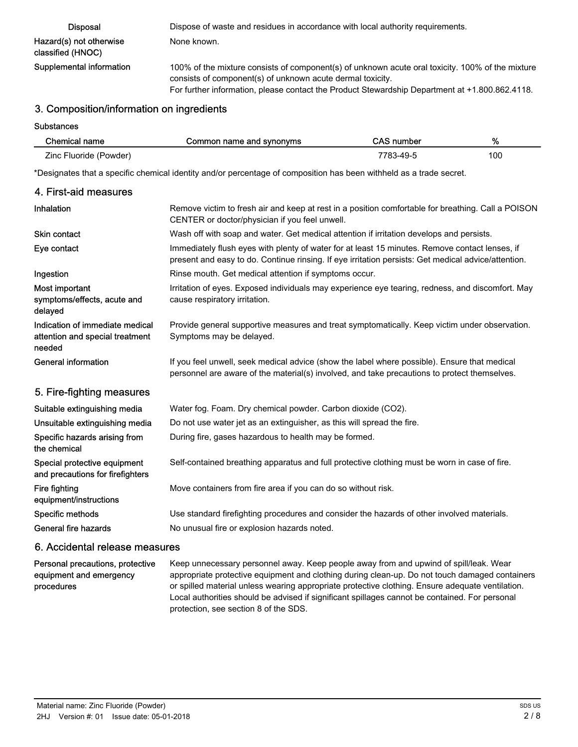| <b>Disposal</b>                              | Dispose of waste and residues in accordance with local authority requirements.                                                                                                                                                                                   |
|----------------------------------------------|------------------------------------------------------------------------------------------------------------------------------------------------------------------------------------------------------------------------------------------------------------------|
| Hazard(s) not otherwise<br>classified (HNOC) | None known.                                                                                                                                                                                                                                                      |
| Supplemental information                     | 100% of the mixture consists of component(s) of unknown acute oral toxicity. 100% of the mixture<br>consists of component(s) of unknown acute dermal toxicity.<br>For further information, please contact the Product Stewardship Department at +1.800.862.4118. |

## 3. Composition/information on ingredients

**Substances** 

| Chemical name          | Common name and synonyms | CAS number | %   |
|------------------------|--------------------------|------------|-----|
| Zinc Fluoride (Powder) |                          | 7783-49-5  | 100 |

\*Designates that a specific chemical identity and/or percentage of composition has been withheld as a trade secret.

| 4. First-aid measures                                                        |                                                                                                                                                                                                       |
|------------------------------------------------------------------------------|-------------------------------------------------------------------------------------------------------------------------------------------------------------------------------------------------------|
| Inhalation                                                                   | Remove victim to fresh air and keep at rest in a position comfortable for breathing. Call a POISON<br>CENTER or doctor/physician if you feel unwell.                                                  |
| <b>Skin contact</b>                                                          | Wash off with soap and water. Get medical attention if irritation develops and persists.                                                                                                              |
| Eye contact                                                                  | Immediately flush eyes with plenty of water for at least 15 minutes. Remove contact lenses, if<br>present and easy to do. Continue rinsing. If eye irritation persists: Get medical advice/attention. |
| Ingestion                                                                    | Rinse mouth. Get medical attention if symptoms occur.                                                                                                                                                 |
| Most important<br>symptoms/effects, acute and<br>delayed                     | Irritation of eyes. Exposed individuals may experience eye tearing, redness, and discomfort. May<br>cause respiratory irritation.                                                                     |
| Indication of immediate medical<br>attention and special treatment<br>needed | Provide general supportive measures and treat symptomatically. Keep victim under observation.<br>Symptoms may be delayed.                                                                             |
| <b>General information</b>                                                   | If you feel unwell, seek medical advice (show the label where possible). Ensure that medical<br>personnel are aware of the material(s) involved, and take precautions to protect themselves.          |
| 5. Fire-fighting measures                                                    |                                                                                                                                                                                                       |
| Suitable extinguishing media                                                 | Water fog. Foam. Dry chemical powder. Carbon dioxide (CO2).                                                                                                                                           |
| Unsuitable extinguishing media                                               | Do not use water jet as an extinguisher, as this will spread the fire.                                                                                                                                |
| Specific hazards arising from<br>the chemical                                | During fire, gases hazardous to health may be formed.                                                                                                                                                 |
| Special protective equipment<br>and precautions for firefighters             | Self-contained breathing apparatus and full protective clothing must be worn in case of fire.                                                                                                         |
| Fire fighting<br>equipment/instructions                                      | Move containers from fire area if you can do so without risk.                                                                                                                                         |
| Specific methods                                                             | Use standard firefighting procedures and consider the hazards of other involved materials.                                                                                                            |
| General fire hazards                                                         | No unusual fire or explosion hazards noted.                                                                                                                                                           |
| 6. Accidental release measures                                               |                                                                                                                                                                                                       |

Keep unnecessary personnel away. Keep people away from and upwind of spill/leak. Wear appropriate protective equipment and clothing during clean-up. Do not touch damaged containers or spilled material unless wearing appropriate protective clothing. Ensure adequate ventilation. Local authorities should be advised if significant spillages cannot be contained. For personal protection, see section 8 of the SDS. Personal precautions, protective equipment and emergency procedures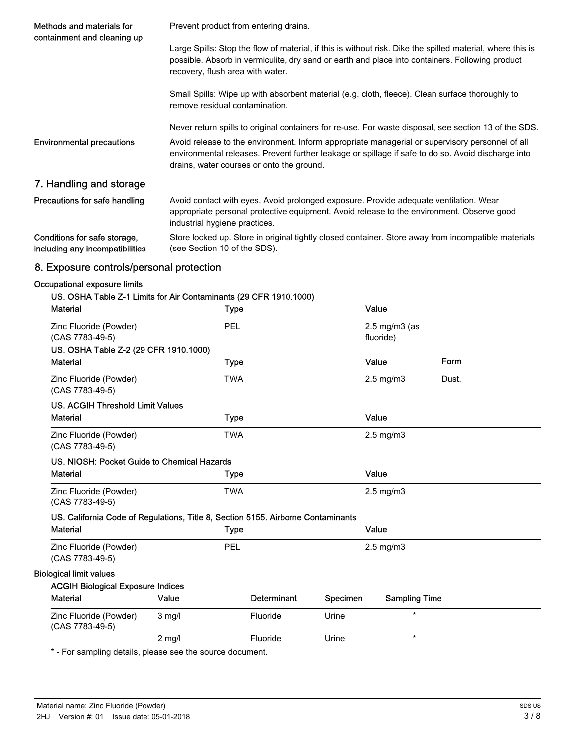| Methods and materials for<br>containment and cleaning up        | Prevent product from entering drains.                                                                                                                                                                                                              |  |  |
|-----------------------------------------------------------------|----------------------------------------------------------------------------------------------------------------------------------------------------------------------------------------------------------------------------------------------------|--|--|
|                                                                 | Large Spills: Stop the flow of material, if this is without risk. Dike the spilled material, where this is<br>possible. Absorb in vermiculite, dry sand or earth and place into containers. Following product<br>recovery, flush area with water.  |  |  |
|                                                                 | Small Spills: Wipe up with absorbent material (e.g. cloth, fleece). Clean surface thoroughly to<br>remove residual contamination.                                                                                                                  |  |  |
|                                                                 | Never return spills to original containers for re-use. For waste disposal, see section 13 of the SDS.                                                                                                                                              |  |  |
| <b>Environmental precautions</b>                                | Avoid release to the environment. Inform appropriate managerial or supervisory personnel of all<br>environmental releases. Prevent further leakage or spillage if safe to do so. Avoid discharge into<br>drains, water courses or onto the ground. |  |  |
| 7. Handling and storage                                         |                                                                                                                                                                                                                                                    |  |  |
| Precautions for safe handling                                   | Avoid contact with eyes. Avoid prolonged exposure. Provide adequate ventilation. Wear<br>appropriate personal protective equipment. Avoid release to the environment. Observe good<br>industrial hygiene practices.                                |  |  |
| Conditions for safe storage,<br>including any incompatibilities | Store locked up. Store in original tightly closed container. Store away from incompatible materials<br>(see Section 10 of the SDS).                                                                                                                |  |  |

# 8. Exposure controls/personal protection

### Occupational exposure limits

| <b>Material</b>                                                                  |          | <b>Type</b> |                    |          | Value                |       |
|----------------------------------------------------------------------------------|----------|-------------|--------------------|----------|----------------------|-------|
| Zinc Fluoride (Powder)                                                           |          | PEL         |                    |          | $2.5$ mg/m $3$ (as   |       |
| (CAS 7783-49-5)                                                                  |          |             |                    |          | fluoride)            |       |
| US. OSHA Table Z-2 (29 CFR 1910.1000)                                            |          |             |                    |          |                      |       |
| <b>Material</b>                                                                  |          | <b>Type</b> |                    |          | Value                | Form  |
| Zinc Fluoride (Powder)<br>(CAS 7783-49-5)                                        |          | <b>TWA</b>  |                    |          | $2.5 \text{ mg/m}$ 3 | Dust. |
| US. ACGIH Threshold Limit Values                                                 |          |             |                    |          |                      |       |
| <b>Material</b>                                                                  |          | <b>Type</b> |                    |          | Value                |       |
| Zinc Fluoride (Powder)<br>(CAS 7783-49-5)                                        |          | <b>TWA</b>  |                    |          | $2.5$ mg/m $3$       |       |
| US. NIOSH: Pocket Guide to Chemical Hazards                                      |          |             |                    |          |                      |       |
| <b>Material</b>                                                                  |          | <b>Type</b> |                    |          | Value                |       |
| Zinc Fluoride (Powder)<br>(CAS 7783-49-5)                                        |          | <b>TWA</b>  |                    |          | $2.5 \text{ mg/m}$ 3 |       |
| US. California Code of Regulations, Title 8, Section 5155. Airborne Contaminants |          |             |                    |          |                      |       |
| <b>Material</b>                                                                  |          | <b>Type</b> |                    |          | Value                |       |
| Zinc Fluoride (Powder)<br>(CAS 7783-49-5)                                        |          | PEL         |                    |          | $2.5 \text{ mg/m}$ 3 |       |
| <b>Biological limit values</b>                                                   |          |             |                    |          |                      |       |
| <b>ACGIH Biological Exposure Indices</b>                                         |          |             |                    |          |                      |       |
| <b>Material</b>                                                                  | Value    |             | <b>Determinant</b> | Specimen | <b>Sampling Time</b> |       |
| Zinc Fluoride (Powder)<br>(CAS 7783-49-5)                                        | $3$ mg/l |             | Fluoride           | Urine    | $\star$              |       |
|                                                                                  | $2$ mg/l |             | Fluoride           | Urine    | $\star$              |       |

\* - For sampling details, please see the source document.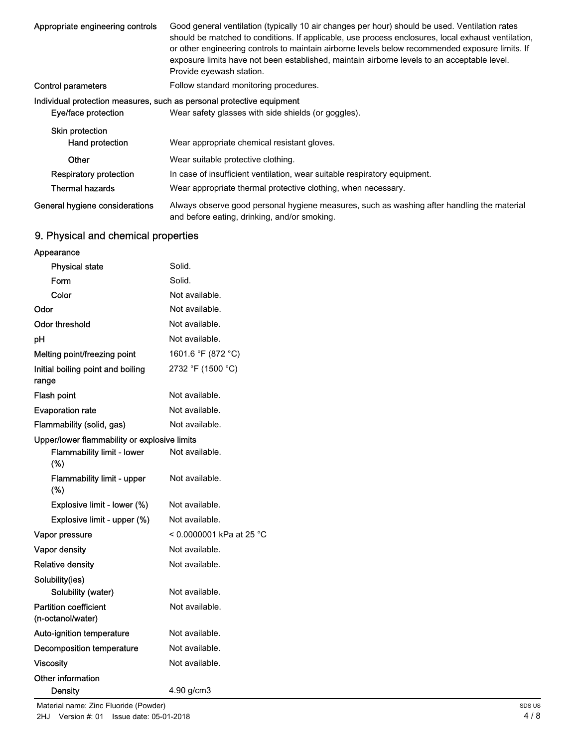| Appropriate engineering controls          | Good general ventilation (typically 10 air changes per hour) should be used. Ventilation rates<br>should be matched to conditions. If applicable, use process enclosures, local exhaust ventilation,<br>or other engineering controls to maintain airborne levels below recommended exposure limits. If<br>exposure limits have not been established, maintain airborne levels to an acceptable level.<br>Provide eyewash station. |
|-------------------------------------------|------------------------------------------------------------------------------------------------------------------------------------------------------------------------------------------------------------------------------------------------------------------------------------------------------------------------------------------------------------------------------------------------------------------------------------|
| <b>Control parameters</b>                 | Follow standard monitoring procedures.                                                                                                                                                                                                                                                                                                                                                                                             |
|                                           | Individual protection measures, such as personal protective equipment                                                                                                                                                                                                                                                                                                                                                              |
| Eye/face protection                       | Wear safety glasses with side shields (or goggles).                                                                                                                                                                                                                                                                                                                                                                                |
| <b>Skin protection</b><br>Hand protection | Wear appropriate chemical resistant gloves.                                                                                                                                                                                                                                                                                                                                                                                        |
| Other                                     | Wear suitable protective clothing.                                                                                                                                                                                                                                                                                                                                                                                                 |
| Respiratory protection                    | In case of insufficient ventilation, wear suitable respiratory equipment.                                                                                                                                                                                                                                                                                                                                                          |
| <b>Thermal hazards</b>                    | Wear appropriate thermal protective clothing, when necessary.                                                                                                                                                                                                                                                                                                                                                                      |
| General hygiene considerations            | Always observe good personal hygiene measures, such as washing after handling the material<br>and before eating, drinking, and/or smoking.                                                                                                                                                                                                                                                                                         |

# 9. Physical and chemical properties

| Appearance                                        |                          |
|---------------------------------------------------|--------------------------|
| <b>Physical state</b>                             | Solid.                   |
| Form                                              | Solid.                   |
| Color                                             | Not available.           |
| Odor                                              | Not available.           |
| <b>Odor threshold</b>                             | Not available.           |
| рH                                                | Not available.           |
| Melting point/freezing point                      | 1601.6 °F (872 °C)       |
| Initial boiling point and boiling<br>range        | 2732 °F (1500 °C)        |
| Flash point                                       | Not available.           |
| <b>Evaporation rate</b>                           | Not available.           |
| Flammability (solid, gas)                         | Not available.           |
| Upper/lower flammability or explosive limits      |                          |
| <b>Flammability limit - lower</b><br>(%)          | Not available.           |
| <b>Flammability limit - upper</b><br>$(\%)$       | Not available.           |
| Explosive limit - lower (%)                       | Not available.           |
| Explosive limit - upper (%)                       | Not available.           |
| Vapor pressure                                    | < 0.0000001 kPa at 25 °C |
| Vapor density                                     | Not available.           |
| <b>Relative density</b>                           | Not available.           |
| Solubility(ies)                                   |                          |
| Solubility (water)                                | Not available.           |
| <b>Partition coefficient</b><br>(n-octanol/water) | Not available.           |
| Auto-ignition temperature                         | Not available.           |
| <b>Decomposition temperature</b>                  | Not available.           |
| <b>Viscosity</b>                                  | Not available.           |
| Other information                                 |                          |
| <b>Density</b>                                    | 4.90 g/cm3               |

Material name: Zinc Fluoride (Powder) 2HJ Version #: 01 Issue date: 05-01-2018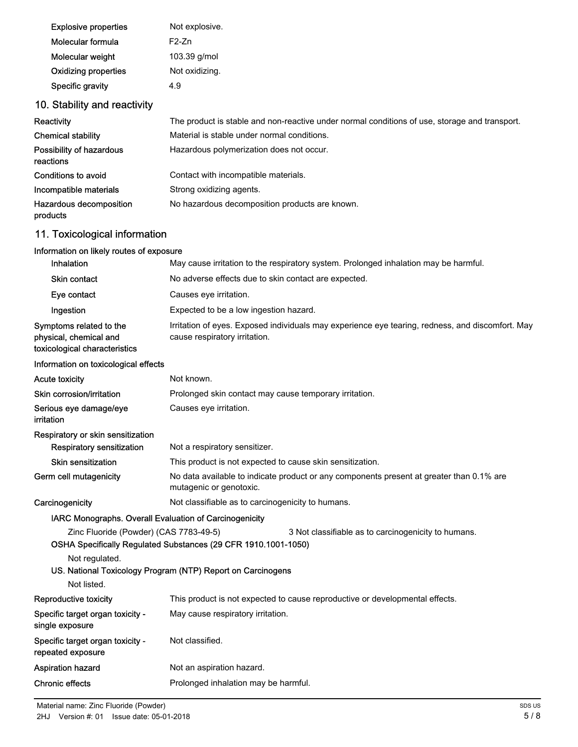| <b>Explosive properties</b> | Not explosive. |
|-----------------------------|----------------|
| Molecular formula           | $F2-7n$        |
| Molecular weight            | 103.39 g/mol   |
| <b>Oxidizing properties</b> | Not oxidizing. |
| Specific gravity            | 4.9            |

# 10. Stability and reactivity

| Reactivity                            | The product is stable and non-reactive under normal conditions of use, storage and transport. |
|---------------------------------------|-----------------------------------------------------------------------------------------------|
| <b>Chemical stability</b>             | Material is stable under normal conditions.                                                   |
| Possibility of hazardous<br>reactions | Hazardous polymerization does not occur.                                                      |
| Conditions to avoid                   | Contact with incompatible materials.                                                          |
| Incompatible materials                | Strong oxidizing agents.                                                                      |
| Hazardous decomposition<br>products   | No hazardous decomposition products are known.                                                |

# 11. Toxicological information

| Information on likely routes of exposure                                           |                                                                                                                                                                                      |  |  |
|------------------------------------------------------------------------------------|--------------------------------------------------------------------------------------------------------------------------------------------------------------------------------------|--|--|
| Inhalation                                                                         | May cause irritation to the respiratory system. Prolonged inhalation may be harmful.                                                                                                 |  |  |
| <b>Skin contact</b>                                                                | No adverse effects due to skin contact are expected.                                                                                                                                 |  |  |
| Eye contact                                                                        | Causes eye irritation.                                                                                                                                                               |  |  |
| Ingestion                                                                          | Expected to be a low ingestion hazard.                                                                                                                                               |  |  |
| Symptoms related to the<br>physical, chemical and<br>toxicological characteristics | Irritation of eyes. Exposed individuals may experience eye tearing, redness, and discomfort. May<br>cause respiratory irritation.                                                    |  |  |
| Information on toxicological effects                                               |                                                                                                                                                                                      |  |  |
| <b>Acute toxicity</b>                                                              | Not known.                                                                                                                                                                           |  |  |
| Skin corrosion/irritation                                                          | Prolonged skin contact may cause temporary irritation.                                                                                                                               |  |  |
| Serious eye damage/eye<br><i>irritation</i>                                        | Causes eye irritation.                                                                                                                                                               |  |  |
| Respiratory or skin sensitization                                                  |                                                                                                                                                                                      |  |  |
| <b>Respiratory sensitization</b>                                                   | Not a respiratory sensitizer.                                                                                                                                                        |  |  |
| <b>Skin sensitization</b>                                                          | This product is not expected to cause skin sensitization.                                                                                                                            |  |  |
| Germ cell mutagenicity                                                             | No data available to indicate product or any components present at greater than 0.1% are<br>mutagenic or genotoxic.                                                                  |  |  |
| Carcinogenicity                                                                    | Not classifiable as to carcinogenicity to humans.                                                                                                                                    |  |  |
| IARC Monographs. Overall Evaluation of Carcinogenicity                             |                                                                                                                                                                                      |  |  |
| Zinc Fluoride (Powder) (CAS 7783-49-5)<br>Not regulated.                           | 3 Not classifiable as to carcinogenicity to humans.<br>OSHA Specifically Regulated Substances (29 CFR 1910.1001-1050)<br>US. National Toxicology Program (NTP) Report on Carcinogens |  |  |
| Not listed.                                                                        |                                                                                                                                                                                      |  |  |
| Reproductive toxicity                                                              | This product is not expected to cause reproductive or developmental effects.                                                                                                         |  |  |
| Specific target organ toxicity -<br>single exposure                                | May cause respiratory irritation.                                                                                                                                                    |  |  |
| Specific target organ toxicity -<br>repeated exposure                              | Not classified.                                                                                                                                                                      |  |  |
| <b>Aspiration hazard</b>                                                           | Not an aspiration hazard.                                                                                                                                                            |  |  |
| <b>Chronic effects</b>                                                             | Prolonged inhalation may be harmful.                                                                                                                                                 |  |  |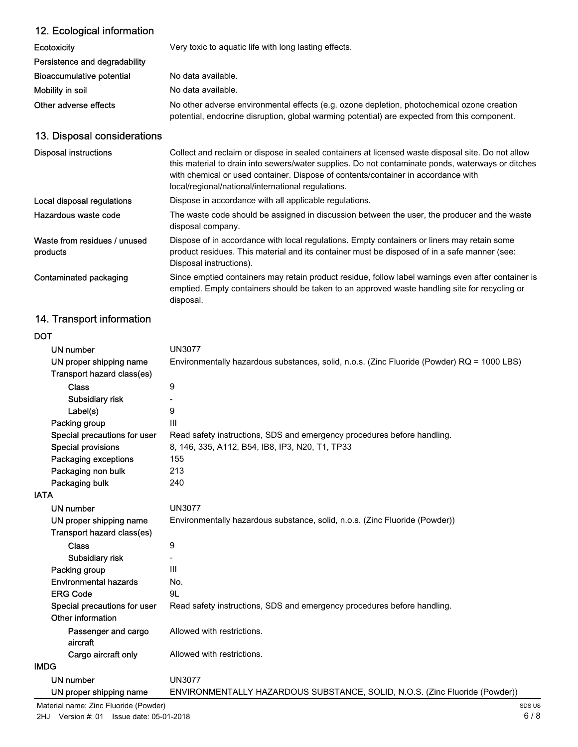| 12. Ecological information               |                                                                                                                                                                                                                                                                                                                                                   |
|------------------------------------------|---------------------------------------------------------------------------------------------------------------------------------------------------------------------------------------------------------------------------------------------------------------------------------------------------------------------------------------------------|
| <b>Ecotoxicity</b>                       | Very toxic to aquatic life with long lasting effects.                                                                                                                                                                                                                                                                                             |
| Persistence and degradability            |                                                                                                                                                                                                                                                                                                                                                   |
| <b>Bioaccumulative potential</b>         | No data available.                                                                                                                                                                                                                                                                                                                                |
| Mobility in soil                         | No data available.                                                                                                                                                                                                                                                                                                                                |
| Other adverse effects                    | No other adverse environmental effects (e.g. ozone depletion, photochemical ozone creation<br>potential, endocrine disruption, global warming potential) are expected from this component.                                                                                                                                                        |
| 13. Disposal considerations              |                                                                                                                                                                                                                                                                                                                                                   |
| <b>Disposal instructions</b>             | Collect and reclaim or dispose in sealed containers at licensed waste disposal site. Do not allow<br>this material to drain into sewers/water supplies. Do not contaminate ponds, waterways or ditches<br>with chemical or used container. Dispose of contents/container in accordance with<br>local/regional/national/international regulations. |
| Local disposal regulations               | Dispose in accordance with all applicable regulations.                                                                                                                                                                                                                                                                                            |
| Hazardous waste code                     | The waste code should be assigned in discussion between the user, the producer and the waste<br>disposal company.                                                                                                                                                                                                                                 |
| Waste from residues / unused<br>products | Dispose of in accordance with local regulations. Empty containers or liners may retain some<br>product residues. This material and its container must be disposed of in a safe manner (see:<br>Disposal instructions).                                                                                                                            |
| Contaminated packaging                   | Since emptied containers may retain product residue, follow label warnings even after container is<br>emptied. Empty containers should be taken to an approved waste handling site for recycling or<br>disposal.                                                                                                                                  |

# 14. Transport information

| <b>DOT</b>                   |                                                                                            |
|------------------------------|--------------------------------------------------------------------------------------------|
| UN number                    | <b>UN3077</b>                                                                              |
| UN proper shipping name      | Environmentally hazardous substances, solid, n.o.s. (Zinc Fluoride (Powder) RQ = 1000 LBS) |
| Transport hazard class(es)   |                                                                                            |
| <b>Class</b>                 | 9                                                                                          |
| Subsidiary risk              |                                                                                            |
| Label(s)                     | 9                                                                                          |
| Packing group                | III                                                                                        |
| Special precautions for user | Read safety instructions, SDS and emergency procedures before handling.                    |
| <b>Special provisions</b>    | 8, 146, 335, A112, B54, IB8, IP3, N20, T1, TP33                                            |
| Packaging exceptions         | 155                                                                                        |
| Packaging non bulk           | 213                                                                                        |
| Packaging bulk               | 240                                                                                        |
| <b>IATA</b>                  |                                                                                            |
| UN number                    | <b>UN3077</b>                                                                              |
| UN proper shipping name      | Environmentally hazardous substance, solid, n.o.s. (Zinc Fluoride (Powder))                |
| Transport hazard class(es)   |                                                                                            |
| <b>Class</b>                 | 9                                                                                          |
| Subsidiary risk              |                                                                                            |
| Packing group                | III                                                                                        |
| <b>Environmental hazards</b> | No.                                                                                        |
| <b>ERG Code</b>              | 9L                                                                                         |
| Special precautions for user | Read safety instructions, SDS and emergency procedures before handling.                    |
| Other information            |                                                                                            |
| Passenger and cargo          | Allowed with restrictions.                                                                 |
| aircraft                     |                                                                                            |
| Cargo aircraft only          | Allowed with restrictions.                                                                 |
| <b>IMDG</b>                  |                                                                                            |
| <b>UN number</b>             | <b>UN3077</b>                                                                              |
| UN proper shipping name      | ENVIRONMENTALLY HAZARDOUS SUBSTANCE, SOLID, N.O.S. (Zinc Fluoride (Powder))                |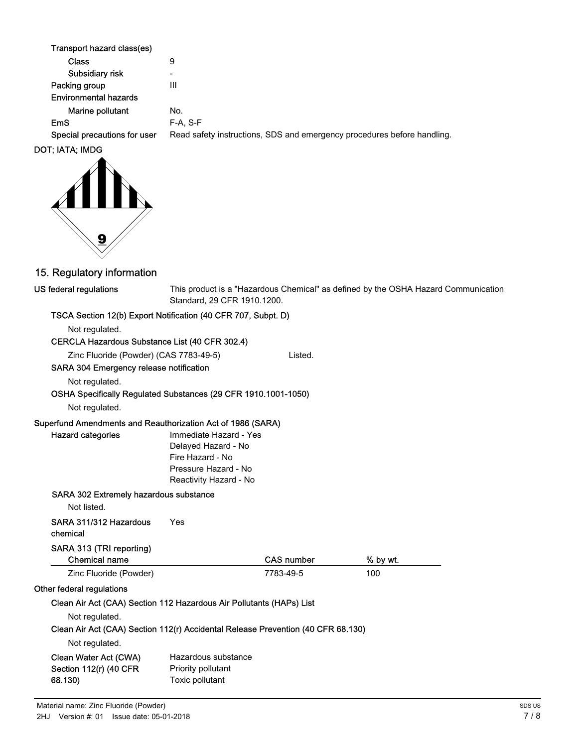| Transport hazard class(es)   |                                                                         |
|------------------------------|-------------------------------------------------------------------------|
| Class                        | 9                                                                       |
| Subsidiary risk              | $\overline{\phantom{0}}$                                                |
| Packing group                | Ш                                                                       |
| <b>Environmental hazards</b> |                                                                         |
| Marine pollutant             | No.                                                                     |
| <b>EmS</b>                   | $F-A. S-F$                                                              |
| Special precautions for user | Read safety instructions, SDS and emergency procedures before handling. |
| DOT; IATA; IMDG              |                                                                         |



## 15. Regulatory information

#### US federal regulations

This product is a "Hazardous Chemical" as defined by the OSHA Hazard Communication Standard, 29 CFR 1910.1200.

### TSCA Section 12(b) Export Notification (40 CFR 707, Subpt. D)

Not regulated.

### CERCLA Hazardous Substance List (40 CFR 302.4)

Zinc Fluoride (Powder) (CAS 7783-49-5) Listed.

#### SARA 304 Emergency release notification

Not regulated.

### OSHA Specifically Regulated Substances (29 CFR 1910.1001-1050)

Not regulated.

#### Superfund Amendments and Reauthorization Act of 1986 (SARA)

| <b>Hazard categories</b> |  |
|--------------------------|--|
|                          |  |

Immediate Hazard - Yes Delayed Hazard - No Fire Hazard - No Pressure Hazard - No Reactivity Hazard - No

#### SARA 302 Extremely hazardous substance

Not listed.

| SARA 311/312 Hazardous | Yes |
|------------------------|-----|
| chemical               |     |

## SARA 313 (TRI reporting)

| <b>Chemical name</b>   | <b>CAS number</b> | % by wt. |
|------------------------|-------------------|----------|
| Zinc Fluoride (Powder) | 7783-49-5         | 100      |

### Other federal regulations

#### Clean Air Act (CAA) Section 112 Hazardous Air Pollutants (HAPs) List

Not regulated.

#### Clean Air Act (CAA) Section 112(r) Accidental Release Prevention (40 CFR 68.130)

#### Not regulated.

| Clean Water Act (CWA)  | Hazardous substance |
|------------------------|---------------------|
| Section 112(r) (40 CFR | Priority pollutant  |
| 68.130)                | Toxic pollutant     |